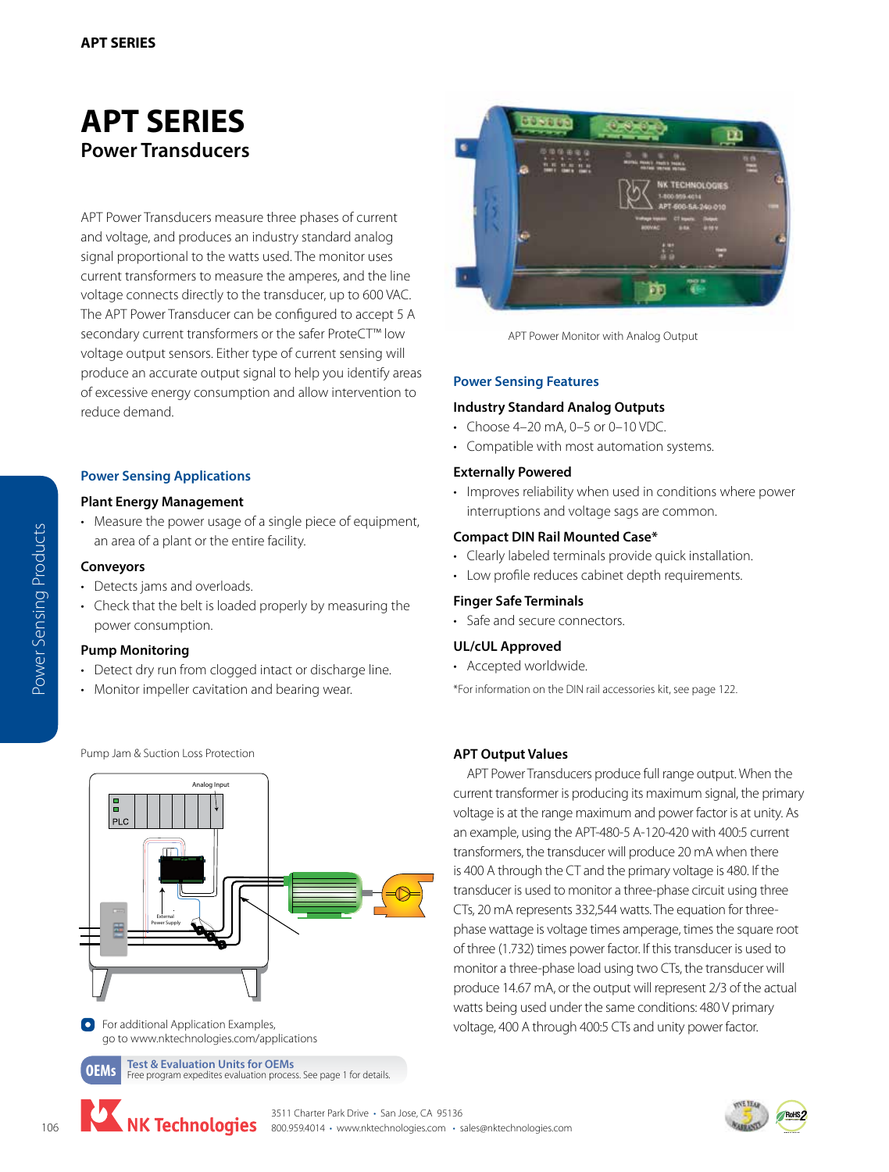# **[APT SERIES](http://nktechnologies.com/power-monitoring-measurement/apt-power-monitoring.html) Power Transducers**

APT Power Transducers measure three phases of current and voltage, and produces an industry standard analog signal proportional to the watts used. The monitor uses current transformers to measure the amperes, and the line voltage connects directly to the transducer, up to 600 VAC. The APT Power Transducer can be configured to accept 5 A secondary current transformers or the safer ProteCT™ low voltage output sensors. Either type of current sensing will produce an accurate output signal to help you identify areas of excessive energy consumption and allow intervention to reduce demand.

# **Power Sensing Applications**

#### **Plant Energy Management**

• Measure the power usage of a single piece of equipment, an area of a plant or the entire facility.

#### **Conveyors**

Power Sensing Products

Power Sensing Products

• Detects jams and overloads.

Pump Jam & Suction Loss Protection

• Check that the belt is loaded properly by measuring the power consumption.

#### **Pump Monitoring**

- Detect dry run from clogged intact or discharge line.
- Monitor impeller cavitation and bearing wear.



**O** For additional Application Examples, go to www.nktechnologies.com/applications

**[OEMs](http://www.nktechnologies.com/test-unit/) Test & Evaluation Units for OEMs**<br>**OEMS** Free program expedites evaluation process. See page 1 for details.



APT Power Monitor with Analog Output

### **Power Sensing Features**

#### **Industry Standard Analog Outputs**

- Choose 4–20 mA, 0–5 or 0–10 VDC.
- Compatible with most automation systems.

#### **Externally Powered**

• Improves reliability when used in conditions where power interruptions and voltage sags are common.

#### **Compact DIN Rail Mounted Case\***

- Clearly labeled terminals provide quick installation.
- Low profile reduces cabinet depth requirements.

#### **Finger Safe Terminals**

• Safe and secure connectors.

### **UL/cUL Approved**

• Accepted worldwide.

\*For information on the DIN rail accessories kit, see page 122.

# **APT Output Values**

APT Power Transducers produce full range output. When the current transformer is producing its maximum signal, the primary voltage is at the range maximum and power factor is at unity. As an example, using the APT-480-5 A-120-420 with 400:5 current transformers, the transducer will produce 20 mA when there is 400 A through the CT and the primary voltage is 480. If the transducer is used to monitor a three-phase circuit using three CTs, 20 mA represents 332,544 watts. The equation for threephase wattage is voltage times amperage, times the square root of three (1.732) times power factor. If this transducer is used to monitor a three-phase load using two CTs, the transducer will produce 14.67 mA, or the output will represent 2/3 of the actual watts being used under the same conditions: 480 V primary voltage, 400 A through 400:5 CTs and unity power factor.